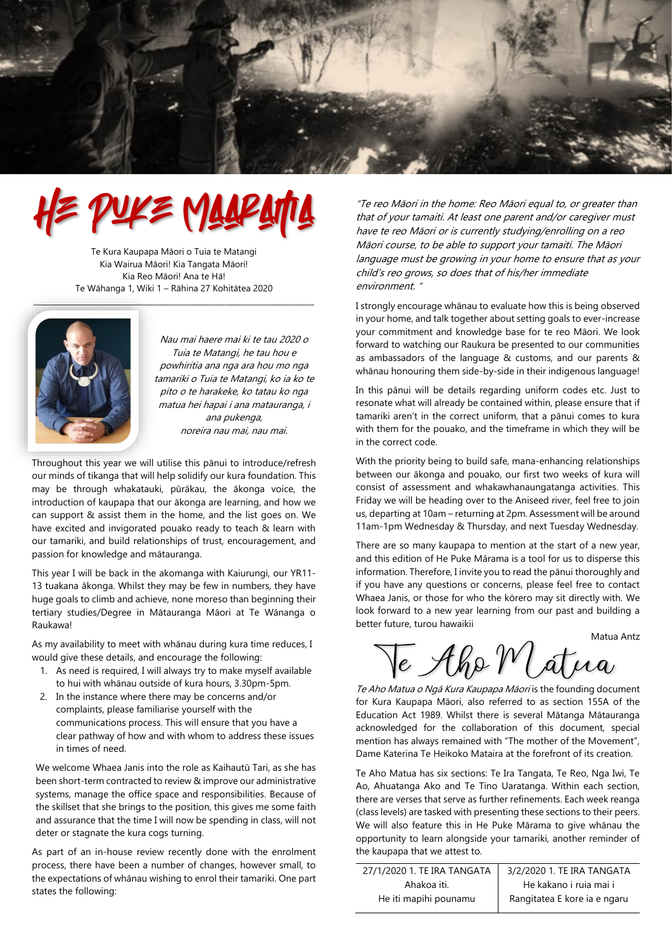

# E PUKE MAARATTA

Te Kura Kaupapa Māori o Tuia te Matangi Kia Wairua Māori! Kia Tangata Māori! Kia Reo Māori! Ana te Hā! Te Wāhanga 1, Wiki 1 – Rāhina 27 Kohitātea 2020

 $\Box$ 



Nau mai haere mai ki te tau 2020 o Tuia te Matangi, he tau hou e powhiritia ana nga ara hou mo nga tamariki o Tuia te Matangi, ko ia ko te pito o te harakeke, ko tatau ko nga matua hei hapai i ana matauranga, i ana pukenga, noreira nau mai, nau mai.

Throughout this year we will utilise this pānui to introduce/refresh our minds of tikanga that will help solidify our kura foundation. This may be through whakatauki, pūrākau, the ākonga voice, the introduction of kaupapa that our ākonga are learning, and how we can support & assist them in the home, and the list goes on. We have excited and invigorated pouako ready to teach & learn with our tamariki, and build relationships of trust, encouragement, and passion for knowledge and mātauranga.

This year I will be back in the akomanga with Kaiurungi, our YR11- 13 tuakana ākonga. Whilst they may be few in numbers, they have huge goals to climb and achieve, none moreso than beginning their tertiary studies/Degree in Mātauranga Māori at Te Wānanga o Raukawa!

As my availability to meet with whānau during kura time reduces, I would give these details, and encourage the following:

- 1. As need is required, I will always try to make myself available to hui with whānau outside of kura hours, 3.30pm-5pm.
- 2. In the instance where there may be concerns and/or complaints, please familiarise yourself with the communications process. This will ensure that you have a clear pathway of how and with whom to address these issues in times of need.

We welcome Whaea Janis into the role as Kaihautū Tari, as she has been short-term contracted to review & improve our administrative systems, manage the office space and responsibilities. Because of the skillset that she brings to the position, this gives me some faith and assurance that the time I will now be spending in class, will not deter or stagnate the kura cogs turning.

As part of an in-house review recently done with the enrolment process, there have been a number of changes, however small, to the expectations of whānau wishing to enrol their tamariki. One part states the following:

"Te reo Māori in the home: Reo Māori equal to, or greater than that of your tamaiti. At least one parent and/or caregiver must have te reo Māori or is currently studying/enrolling on a reo Māori course, to be able to support your tamaiti. The Māori language must be growing in your home to ensure that as your child's reo grows, so does that of his/her immediate environment. "

I strongly encourage whānau to evaluate how this is being observed in your home, and talk together about setting goals to ever-increase your commitment and knowledge base for te reo Māori. We look forward to watching our Raukura be presented to our communities as ambassadors of the language & customs, and our parents & whānau honouring them side-by-side in their indigenous language!

In this pānui will be details regarding uniform codes etc. Just to resonate what will already be contained within, please ensure that if tamariki aren't in the correct uniform, that a pānui comes to kura with them for the pouako, and the timeframe in which they will be in the correct code.

With the priority being to build safe, mana-enhancing relationships between our ākonga and pouako, our first two weeks of kura will consist of assessment and whakawhanaungatanga activities. This Friday we will be heading over to the Aniseed river, feel free to join us, departing at 10am – returning at 2pm. Assessment will be around 11am-1pm Wednesday & Thursday, and next Tuesday Wednesday.

There are so many kaupapa to mention at the start of a new year, and this edition of He Puke Mārama is a tool for us to disperse this information. Therefore, I invite you to read the pānui thoroughly and if you have any questions or concerns, please feel free to contact Whaea Janis, or those for who the kōrero may sit directly with. We look forward to a new year learning from our past and building a better future, turou hawaikii

Matua Antz

 $\overline{e}$  Abs M d

Te Aho Matua o Ngā Kura Kaupapa Māori is the founding document for Kura Kaupapa Māori, also referred to as section 155A of the Education Act 1989. Whilst there is several Mātanga Mātauranga acknowledged for the collaboration of this document, special mention has always remained with "The mother of the Movement", Dame Katerina Te Heikoko Mataira at the forefront of its creation.

Te Aho Matua has six sections: Te Ira Tangata, Te Reo, Nga Iwi, Te Ao, Ahuatanga Ako and Te Tino Uaratanga. Within each section, there are verses that serve as further refinements. Each week reanga (class levels) are tasked with presenting these sections to their peers. We will also feature this in He Puke Mārama to give whānau the opportunity to learn alongside your tamariki, another reminder of the kaupapa that we attest to.

| 27/1/2020 1. TE IRA TANGATA | 3/2/2020 1. TE IRA TANGATA   |  |
|-----------------------------|------------------------------|--|
| Ahakoa iti.                 | He kakano i ruja mai i       |  |
| He iti mapihi pounamu       | Rangitatea E kore ia e ngaru |  |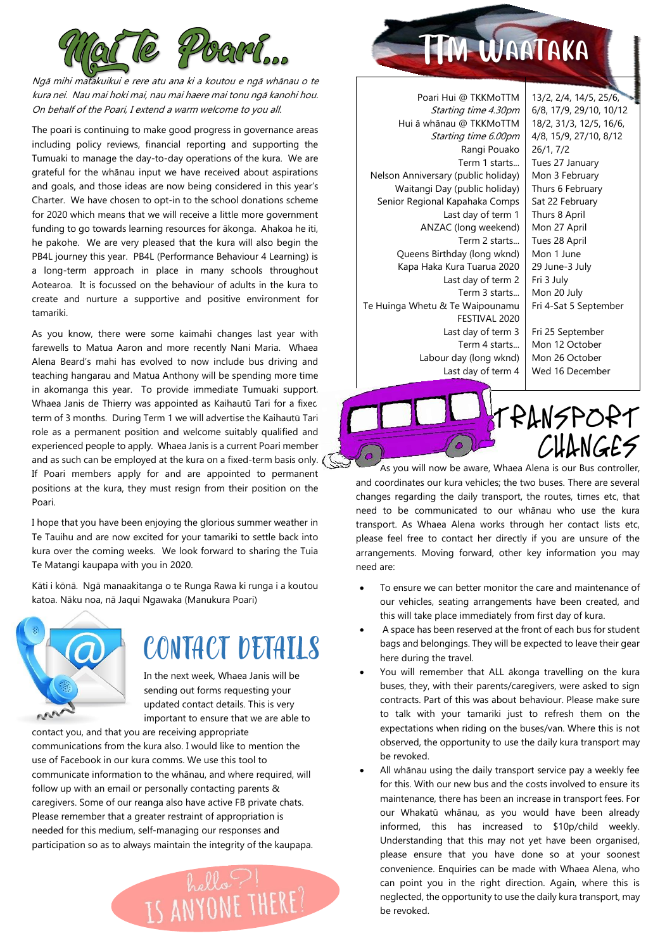

Ngā mihi matakuikui e rere atu ana ki a koutou <sup>e</sup> ngā whānau o te kura nei. Nau mai hoki mai, nau mai haere mai tonu ngā kanohi hou. On behalf of the Poari, I extend a warm welcome to you all.

The poari is continuing to make good progress in governance areas including policy reviews, financial reporting and supporting the Tumuaki to manage the day-to-day operations of the kura. We are grateful for the whānau input we have received about aspirations and goals, and those ideas are now being considered in this year's Charter. We have chosen to opt-in to the school donations scheme for 2020 which means that we will receive a little more government funding to go towards learning resources for ākonga. Ahakoa he iti, he pakohe. We are very pleased that the kura will also begin the PB4L journey this year. PB4L (Performance Behaviour 4 Learning) is a long-term approach in place in many schools throughout Aotearoa. It is focussed on the behaviour of adults in the kura to create and nurture a supportive and positive environment for tamariki.

As you know, there were some kaimahi changes last year with farewells to Matua Aaron and more recently Nani Maria. Whaea Alena Beard's mahi has evolved to now include bus driving and teaching hangarau and Matua Anthony will be spending more time in akomanga this year. To provide immediate Tumuaki support Whaea Janis de Thierry was appointed as Kaihautū Tari for a fixed term of 3 months. During Term 1 we will advertise the Kaihautū Tari role as a permanent position and welcome suitably qualified and experienced people to apply. Whaea Janis is a current Poari member and as such can be employed at the kura on a fixed-term basis only. ( If Poari members apply for and are appointed to permanent positions at the kura, they must resign from their position on the Poari.

I hope that you have been enjoying the glorious summer weather in Te Tauihu and are now excited for your tamariki to settle back into kura over the coming weeks. We look forward to sharing the Tuia Te Matangi kaupapa with you in 2020.

Kāti i kōnā. Ngā manaakitanga o te Runga Rawa ki runga i a koutou katoa. Nāku noa, nā Jaqui Ngawaka (Manukura Poari)



## CONTACT DETAILS

In the next week, Whaea Janis will be sending out forms requesting your updated contact details. This is very important to ensure that we are able to

contact you, and that you are receiving appropriate communications from the kura also. I would like to mention the use of Facebook in our kura comms. We use this tool to communicate information to the whānau, and where required, will follow up with an email or personally contacting parents & caregivers. Some of our reanga also have active FB private chats. Please remember that a greater restraint of appropriation is needed for this medium, self-managing our responses and participation so as to always maintain the integrity of the kaupapa.



## TM WAATAKA

Poari Hui @ TKKMoTTM Starting time 4.30pm Hui ā whānau @ TKKMoTTM Starting time 6.00pm Rangi Pouako Term 1 starts... Nelson Anniversary (public holiday) Waitangi Day (public holiday) Senior Regional Kapahaka Comps Last day of term 1 ANZAC (long weekend) Term 2 starts... Queens Birthday (long wknd) Kapa Haka Kura Tuarua 2020 Last day of term 2 Term 3 starts... Te Huinga Whetu & Te Waipounamu FESTIVAL 2020 Last day of term 3 Term 4 starts... Labour day (long wknd) Last day of term 4

13/2, 2/4, 14/5, 25/6, 6/8, 17/9, 29/10, 10/12 18/2, 31/3, 12/5, 16/6, 4/8, 15/9, 27/10, 8/12 26/1, 7/2 Tues 27 January Mon 3 February Thurs 6 February Sat 22 February Thurs 8 April Mon 27 April Tues 28 April Mon 1 June 29 June-3 July Fri 3 July Mon 20 July Fri 4-Sat 5 September Fri 25 September Mon 12 October Mon 26 October Wed 16 December

### TRANSPORT CHANGES

As you will now be aware, Whaea Alena is our Bus controller, and coordinates our kura vehicles; the two buses. There are several changes regarding the daily transport, the routes, times etc, that need to be communicated to our whānau who use the kura transport. As Whaea Alena works through her contact lists etc, please feel free to contact her directly if you are unsure of the arrangements. Moving forward, other key information you may need are:

- To ensure we can better monitor the care and maintenance of our vehicles, seating arrangements have been created, and this will take place immediately from first day of kura.
- A space has been reserved at the front of each bus for student bags and belongings. They will be expected to leave their gear here during the travel.
- You will remember that ALL ākonga travelling on the kura buses, they, with their parents/caregivers, were asked to sign contracts. Part of this was about behaviour. Please make sure to talk with your tamariki just to refresh them on the expectations when riding on the buses/van. Where this is not observed, the opportunity to use the daily kura transport may be revoked.
- All whānau using the daily transport service pay a weekly fee for this. With our new bus and the costs involved to ensure its maintenance, there has been an increase in transport fees. For our Whakatū whānau, as you would have been already informed, this has increased to \$10p/child weekly. Understanding that this may not yet have been organised, please ensure that you have done so at your soonest convenience. Enquiries can be made with Whaea Alena, who can point you in the right direction. Again, where this is neglected, the opportunity to use the daily kura transport, may be revoked.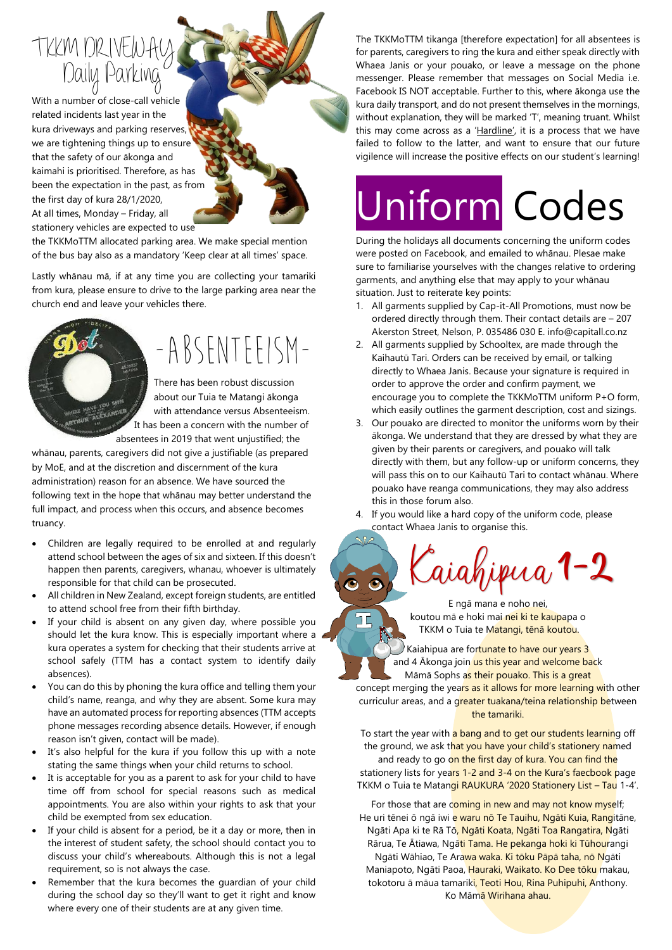## Daily Parking TKKM DRIVEW

With a number of close-call vehicle related incidents last year in the kura driveways and parking reserves, we are tightening things up to ensure that the safety of our ākonga and kaimahi is prioritised. Therefore, as has been the expectation in the past, as from the first day of kura 28/1/2020, At all times, Monday – Friday, all stationery vehicles are expected to use

the TKKMoTTM allocated parking area. We make special mention of the bus bay also as a mandatory 'Keep clear at all times' space.

Lastly whānau mā, if at any time you are collecting your tamariki from kura, please ensure to drive to the large parking area near the church end and leave your vehicles there.

## -ABSENTEEISM-

There has been robust discussion about our Tuia te Matangi ākonga with attendance versus Absenteeism. It has been a concern with the number of absentees in 2019 that went unjustified; the

whānau, parents, caregivers did not give a justifiable (as prepared by MoE, and at the discretion and discernment of the kura administration) reason for an absence. We have sourced the following text in the hope that whānau may better understand the full impact, and process when this occurs, and absence becomes truancy.

- Children are [legally required](http://www.legislation.govt.nz/act/public/1989/0080/latest/DLM178240.html) to be enrolled at and regularly attend school between the ages of six and sixteen. If this doesn't happen then parents, caregivers, whanau, whoever is ultimately responsible for that child can be prosecuted.
- All children in New Zealand, except foreign students, are entitled to attend school free from their fifth birthday.
- If your child is absent on any given day, where possible you should let the kura know. This is especially important where a kura operates a system for checking that their students arrive at school safely (TTM has a contact system to identify daily absences).
- You can do this by phoning the kura office and telling them your child's name, reanga, and why they are absent. Some kura may have an automated process for reporting absences (TTM accepts phone messages recording absence details. However, if enough reason isn't given, contact will be made).
- It's also helpful for the kura if you follow this up with a note stating the same things when your child returns to school.
- It is acceptable for you as a parent to ask for your child to have time off from school for special reasons such as medical appointments. You are also within your rights to ask that your child be exempted from sex education.
- If your child is absent for a period, be it a day or more, then in the interest of student safety, the school should contact you to discuss your child's whereabouts. Although this is not a legal requirement, so is not always the case.
- Remember that the kura becomes the guardian of your child during the school day so they'll want to get it right and know where every one of their students are at any given time.

The TKKMoTTM tikanga [therefore expectation] for all absentees is for parents, caregivers to ring the kura and either speak directly with Whaea Janis or your pouako, or leave a message on the phone messenger. Please remember that messages on Social Media i.e. Facebook IS NOT acceptable. Further to this, where ākonga use the kura daily transport, and do not present themselves in the mornings, without explanation, they will be marked 'T', meaning truant. Whilst this may come across as a 'Hardline', it is a process that we have failed to follow to the latter, and want to ensure that our future vigilence will increase the positive effects on our student's learning!

# Uniform Codes

During the holidays all documents concerning the uniform codes were posted on Facebook, and emailed to whānau. Plesae make sure to familiarise yourselves with the changes relative to ordering garments, and anything else that may apply to your whānau situation. Just to reiterate key points:

- 1. All garments supplied by Cap-it-All Promotions, must now be ordered directly through them. Their contact details are – 207 Akerston Street, Nelson, P. 035486 030 E. info@capitall.co.nz
- 2. All garments supplied by Schooltex, are made through the Kaihautū Tari. Orders can be received by email, or talking directly to Whaea Janis. Because your signature is required in order to approve the order and confirm payment, we encourage you to complete the TKKMoTTM uniform P+O form, which easily outlines the garment description, cost and sizings.
- 3. Our pouako are directed to monitor the uniforms worn by their ākonga. We understand that they are dressed by what they are given by their parents or caregivers, and pouako will talk directly with them, but any follow-up or uniform concerns, they will pass this on to our Kaihautū Tari to contact whānau. Where pouako have reanga communications, they may also address this in those forum also.
- 4. If you would like a hard copy of the uniform code, please contact Whaea Janis to organise this.



E ngā mana e noho nei, koutou mā e hoki mai nei ki te kaupapa o TKKM o Tuia te Matangi, tēnā koutou.

IĘ

Kaiahipua are fortunate to have our years 3 and 4 Akonga join us this year and welcome back Māmā Sophs as their pouako. This is a great

concept merging the years as it allows for more learning with other curriculur areas, and a greater tuakana/teina relationship between the tamariki.

To start the year with a bang and to get our students learning off the ground, we ask that you have your child's stationery named and ready to go on the first day of kura. You can find the stationery lists for years 1-2 and 3-4 on the Kura's faecbook page TKKM o Tuia te Matangi RAUKURA '2020 Stationery List – Tau 1-4'.

For those that are coming in new and may not know myself; He uri tēnei ō ngā iwi e waru nō Te Tauihu, Ngāti Kuia, Rangitāne, Ngāti Apa ki te Rā Tō, Ngāti Koata, Ngāti Toa Rangatira, Ngāti Rārua, Te Ātiawa, Ngāti Tama. He pekanga hoki ki Tūhourangi

Ngāti Wāhiao, Te Arawa waka. Ki tōku Pāpā taha, nō Ngāti Maniapoto, Ngāti Paoa, Hauraki, Waikato. Ko Dee tōku makau, tokotoru ā māua tamariki, Teoti Hou, Rina Puhipuhi, Anthony. Ko Māmā Wirihana ahau.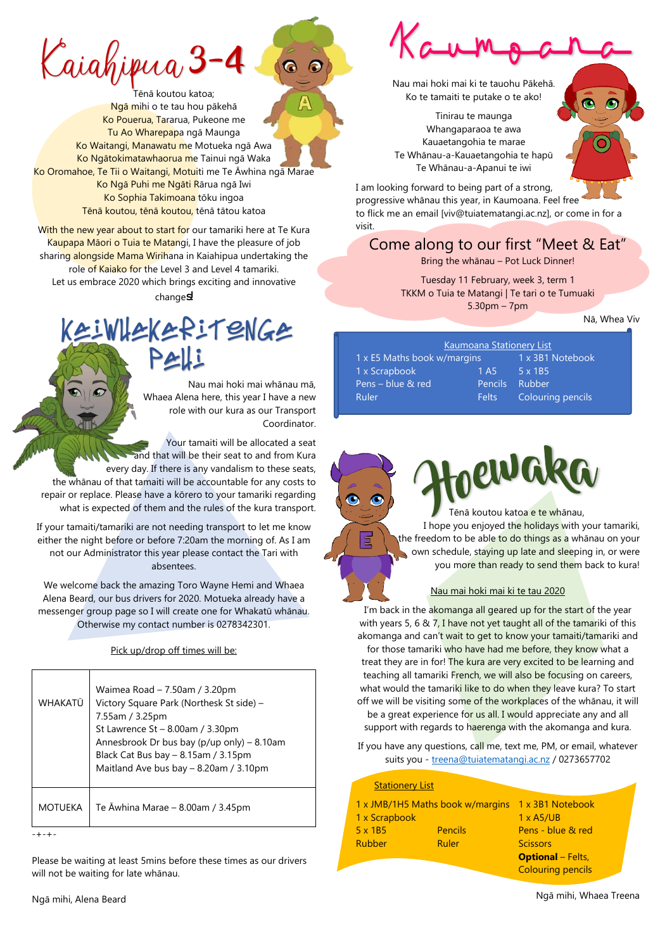$\zeta$ aiahipua 3

Tēnā koutou katoa; Ngā mihi o te tau hou pākehā Ko Pouerua, Tararua, Pukeone me Tu Ao Wharepapa ngā Maunga Ko Waitangi, Manawatu me Motueka ngā Awa Ko Ngātokimatawhaorua me Tainui ngā Waka Ko Oromahoe, Te Tii o Waitangi, Motuiti me Te Āwhina ngā Marae Ko Ngā Puhi me Ngāti Rārua ngā Iwi Ko Sophia Takimoana tōku ingoa Tēnā koutou, tēnā koutou, tēnā tātou katoa

With the new year about to start for our tamariki here at Te Kura Kaupapa Māori o Tuia te Matangi, I have the pleasure of job sharing alongside Mama Wirihana in Kaiahipua undertaking the role of Kaiako for the Level 3 and Level 4 tamariki. Let us embrace 2020 which brings exciting and innovative changes

## Kaiwhakaritenga Pahi

Nau mai hoki mai whānau mā, Whaea Alena here, this year I have a new role with our kura as our Transport Coordinator.

Your tamaiti will be allocated a seat and that will be their seat to and from Kura every day. If there is any vandalism to these seats, the whānau of that tamaiti will be accountable for any costs to repair or replace. Please have a kōrero to your tamariki regarding what is expected of them and the rules of the kura transport.

If your tamaiti/tamariki are not needing transport to let me know either the night before or before 7:20am the morning of. As I am not our Administrator this year please contact the Tari with absentees.

We welcome back the amazing Toro Wayne Hemi and Whaea Alena Beard, our bus drivers for 2020. Motueka already have a messenger group page so I will create one for Whakatū whānau. Otherwise my contact number is 0278342301.

Pick up/drop off times will be:

| WHAKATŪ | Waimea Road - 7.50am / 3.20pm<br>Victory Square Park (Northesk St side) -<br>7.55am / 3.25pm<br>St Lawrence $St - 8.00$ am / 3.30pm<br>Annesbrook Dr bus bay (p/up only) - 8.10am<br>Black Cat Bus bay - 8.15am / 3.15pm<br>Maitland Ave bus bay - 8.20am / 3.10pm |
|---------|--------------------------------------------------------------------------------------------------------------------------------------------------------------------------------------------------------------------------------------------------------------------|
| MOTUEKA | Te Awhina Marae $-$ 8.00am / 3.45pm                                                                                                                                                                                                                                |
|         |                                                                                                                                                                                                                                                                    |

Please be waiting at least 5mins before these times as our drivers will not be waiting for late whānau.



Nau mai hoki mai ki te tauohu Pākehā. Ko te tamaiti te putake o te ako!

Tinirau te maunga Whangaparaoa te awa Kauaetangohia te marae Te Whānau-a-Kauaetangohia te hapū Te Whānau-a-Apanui te iwi

I am looking forward to being part of a strong. progressive whānau this year, in Kaumoana. Feel free to flick me an email [viv@tuiatematangi.ac.nz], or come in for a visit.

### Come along to our first "Meet & Eat"

Bring the whānau – Pot Luck Dinner!

Tuesday 11 February, week 3, term 1 TKKM o Tuia te Matangi | Te tari o te Tumuaki 5.30pm – 7pm

Nā, Whea Viv

| <b>Kaumoana Stationery List</b> |                  |                   |  |  |
|---------------------------------|------------------|-------------------|--|--|
| 1 x E5 Maths book w/margins     |                  | 1 x 3B1 Notebook  |  |  |
| 1 x Scrapbook                   | 1 A <sub>5</sub> | $5 \times 185$    |  |  |
| Pens - blue & red               | <b>Pencils</b>   | Rubber            |  |  |
| Ruler                           | <b>Felts</b>     | Colouring pencils |  |  |
|                                 |                  |                   |  |  |

י

 Tēnā koutou katoa e te whānau, I hope you enjoyed the holidays with your tamariki, the freedom to be able to do things as a whānau on your own schedule, staying up late and sleeping in, or were you more than ready to send them back to kura!

#### Nau mai hoki mai ki te tau 2020

I'm back in the akomanga all geared up for the start of the year with years 5, 6 & 7, I have not yet taught all of the tamariki of this akomanga and can't wait to get to know your tamaiti/tamariki and for those tamariki who have had me before, they know what a treat they are in for! The kura are very excited to be learning and teaching all tamariki French, we will also be focusing on careers, what would the tamariki like to do when they leave kura? To start off we will be visiting some of the workplaces of the whānau, it will be a great experience for us all. I would appreciate any and all support with regards to haerenga with the akomanga and kura.

If you have any questions, call me, text me, PM, or email, whatever suits you - [treena@tuiatematangi.ac.nz](mailto:treena@tuiatematangi.ac.nz) / 0273657702

#### Stationery List

| 1 x JMB/1H5 Maths book w/margins |                | 1 x 3B1 Notebook         |
|----------------------------------|----------------|--------------------------|
| 1 x Scrapbook                    |                | $1 \times$ A5/UB         |
| $5 \times 1B5$                   | <b>Pencils</b> | Pens - blue & red        |
| <b>Rubber</b>                    | Ruler          | <b>Scissors</b>          |
|                                  |                | <b>Optional</b> – Felts, |
|                                  |                | <b>Colouring pencils</b> |

Ngā mihi, Alena Beard